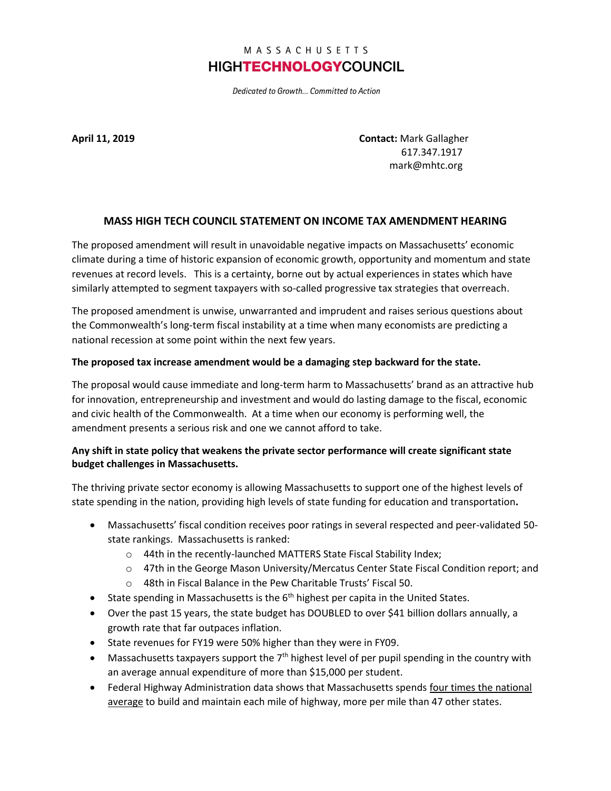# MASSACHUSETTS **HIGHTECHNOLOGYCOUNCIL**

Dedicated to Growth... Committed to Action

**April 11, 2019 Contact:** Mark Gallagher 617.347.1917 mark@mhtc.org

### **MASS HIGH TECH COUNCIL STATEMENT ON INCOME TAX AMENDMENT HEARING**

The proposed amendment will result in unavoidable negative impacts on Massachusetts' economic climate during a time of historic expansion of economic growth, opportunity and momentum and state revenues at record levels. This is a certainty, borne out by actual experiences in states which have similarly attempted to segment taxpayers with so-called progressive tax strategies that overreach.

The proposed amendment is unwise, unwarranted and imprudent and raises serious questions about the Commonwealth's long-term fiscal instability at a time when many economists are predicting a national recession at some point within the next few years.

#### **The proposed tax increase amendment would be a damaging step backward for the state.**

The proposal would cause immediate and long-term harm to Massachusetts' brand as an attractive hub for innovation, entrepreneurship and investment and would do lasting damage to the fiscal, economic and civic health of the Commonwealth. At a time when our economy is performing well, the amendment presents a serious risk and one we cannot afford to take.

### **Any shift in state policy that weakens the private sector performance will create significant state budget challenges in Massachusetts.**

The thriving private sector economy is allowing Massachusetts to support one of the highest levels of state spending in the nation, providing high levels of state funding for education and transportation**.** 

- Massachusetts' fiscal condition receives poor ratings in several respected and peer-validated 50 state rankings. Massachusetts is ranked:
	- o 44th in the recently-launched MATTERS State Fiscal Stability Index;
	- o 47th in the George Mason University/Mercatus Center State Fiscal Condition report; and
	- o 48th in Fiscal Balance in the Pew Charitable Trusts' Fiscal 50.
- State spending in Massachusetts is the  $6<sup>th</sup>$  highest per capita in the United States.
- Over the past 15 years, the state budget has DOUBLED to over \$41 billion dollars annually, a growth rate that far outpaces inflation.
- State revenues for FY19 were 50% higher than they were in FY09.
- Massachusetts taxpayers support the  $7<sup>th</sup>$  highest level of per pupil spending in the country with an average annual expenditure of more than \$15,000 per student.
- Federal Highway Administration data shows that Massachusetts spends four times the national average to build and maintain each mile of highway, more per mile than 47 other states.